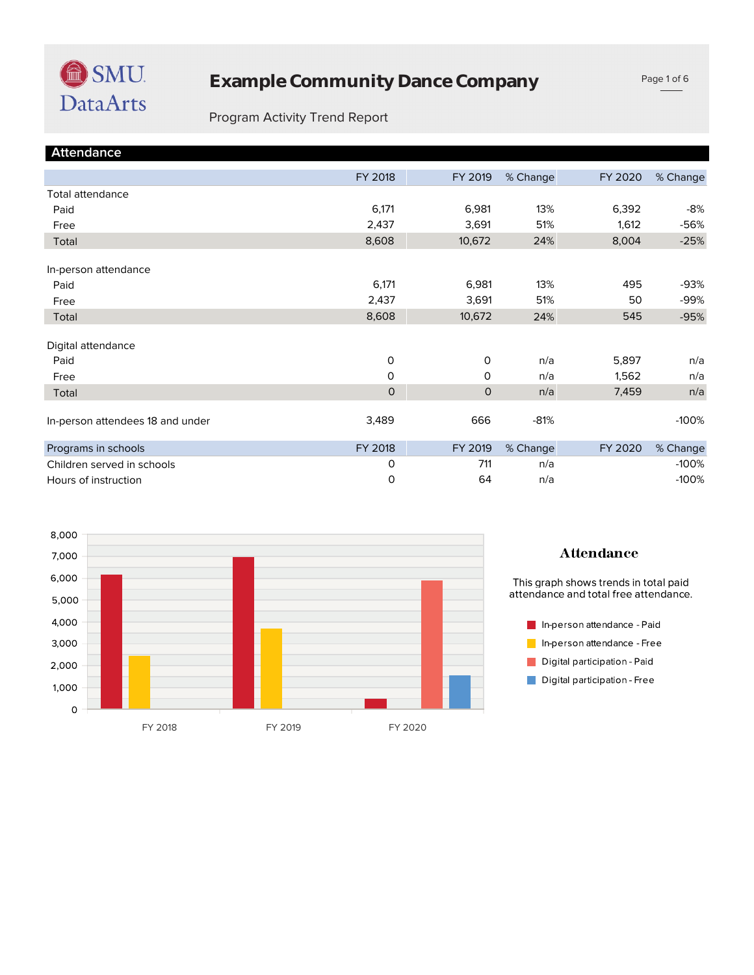

#### Program Activity Trend Report

| <b>Attendance</b>                |              |              |          |         |          |
|----------------------------------|--------------|--------------|----------|---------|----------|
|                                  | FY 2018      | FY 2019      | % Change | FY 2020 | % Change |
| <b>Total attendance</b>          |              |              |          |         |          |
| Paid                             | 6,171        | 6,981        | 13%      | 6,392   | -8%      |
| Free                             | 2,437        | 3,691        | 51%      | 1,612   | -56%     |
| Total                            | 8,608        | 10,672       | 24%      | 8,004   | $-25%$   |
| In-person attendance             |              |              |          |         |          |
| Paid                             | 6,171        | 6,981        | 13%      | 495     | -93%     |
| Free                             | 2,437        | 3,691        | 51%      | 50      | -99%     |
| Total                            | 8,608        | 10,672       | 24%      | 545     | $-95%$   |
| Digital attendance               |              |              |          |         |          |
| Paid                             | O            | 0            | n/a      | 5,897   | n/a      |
| Free                             | O            | $\mathsf{O}$ | n/a      | 1,562   | n/a      |
| Total                            | $\mathsf{O}$ | $\Omega$     | n/a      | 7,459   | n/a      |
| In-person attendees 18 and under | 3,489        | 666          | $-81%$   |         | $-100%$  |
| Programs in schools              | FY 2018      | FY 2019      | % Change | FY 2020 | % Change |
| Children served in schools       | 0            | 711          | n/a      |         | $-100%$  |
| Hours of instruction             | 0            | 64           | n/a      |         | $-100%$  |



#### **Attendance**

This graph shows trends in total paid<br>attendance and total free attendance.

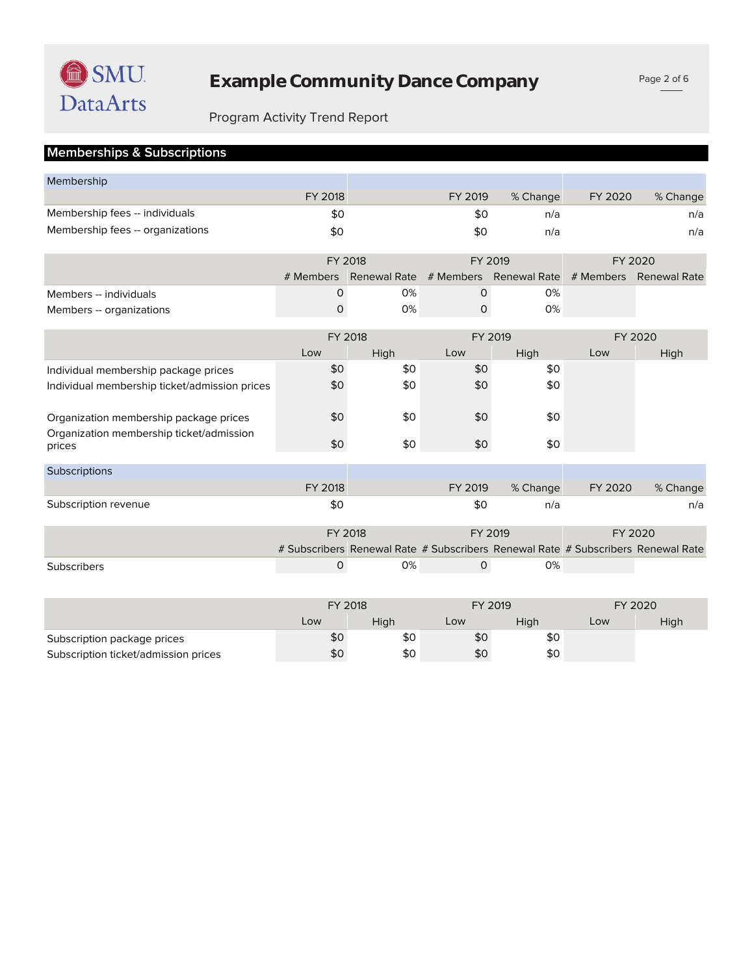# Program Activity Trend Report

### **Memberships & Subscriptions**

| Membership                                    |              |                                                                                  |              |                                               |         |          |  |
|-----------------------------------------------|--------------|----------------------------------------------------------------------------------|--------------|-----------------------------------------------|---------|----------|--|
|                                               | FY 2018      |                                                                                  | FY 2019      | % Change                                      | FY 2020 | % Change |  |
| Membership fees -- individuals                | \$0          |                                                                                  | \$0          | n/a                                           |         | n/a      |  |
| Membership fees -- organizations              | \$0          |                                                                                  | \$0          | n/a                                           |         | n/a      |  |
|                                               |              |                                                                                  |              |                                               |         |          |  |
|                                               |              | FY 2018                                                                          |              | FY 2019                                       | FY 2020 |          |  |
|                                               |              | # Members Renewal Rate                                                           |              | # Members Renewal Rate # Members Renewal Rate |         |          |  |
| Members -- individuals                        | 0            | 0%                                                                               | $\Omega$     | 0%                                            |         |          |  |
| Members -- organizations                      | $\mathsf{O}$ | 0%                                                                               | $\mathsf{O}$ | 0%                                            |         |          |  |
|                                               |              |                                                                                  |              |                                               |         |          |  |
|                                               |              | FY 2018                                                                          |              | FY 2019                                       |         | FY 2020  |  |
|                                               | Low          | High                                                                             | Low          | High                                          | Low     | High     |  |
| Individual membership package prices          | \$0          | \$0                                                                              | \$0          | \$0                                           |         |          |  |
| Individual membership ticket/admission prices | \$0          | \$0                                                                              | \$0          | \$0                                           |         |          |  |
|                                               |              |                                                                                  |              |                                               |         |          |  |
| Organization membership package prices        | \$0          | \$0                                                                              | \$0          | \$0                                           |         |          |  |
| Organization membership ticket/admission      |              |                                                                                  |              |                                               |         |          |  |
| prices                                        | \$0          | \$0                                                                              | \$0          | \$0                                           |         |          |  |
| Subscriptions                                 |              |                                                                                  |              |                                               |         |          |  |
|                                               | FY 2018      |                                                                                  | FY 2019      | % Change                                      | FY 2020 | % Change |  |
| Subscription revenue                          | \$0          |                                                                                  | \$0          | n/a                                           |         | n/a      |  |
|                                               |              |                                                                                  |              |                                               |         |          |  |
|                                               |              | FY 2018                                                                          | FY 2019      |                                               | FY 2020 |          |  |
|                                               |              | # Subscribers Renewal Rate # Subscribers Renewal Rate # Subscribers Renewal Rate |              |                                               |         |          |  |
| <b>Subscribers</b>                            | $\mathsf{O}$ | 0%                                                                               | $\mathsf{O}$ | 0%                                            |         |          |  |
|                                               |              |                                                                                  |              |                                               |         |          |  |
|                                               |              |                                                                                  |              |                                               |         |          |  |

|                                      | FY 2018 |      | FY 2019 |      | FY 2020 |      |
|--------------------------------------|---------|------|---------|------|---------|------|
|                                      | Low     | Hiah | Low     | Hiah | Low     | High |
| Subscription package prices          | \$0     | \$0  | \$0     | \$0  |         |      |
| Subscription ticket/admission prices | \$0     | \$0  | \$0     | \$0  |         |      |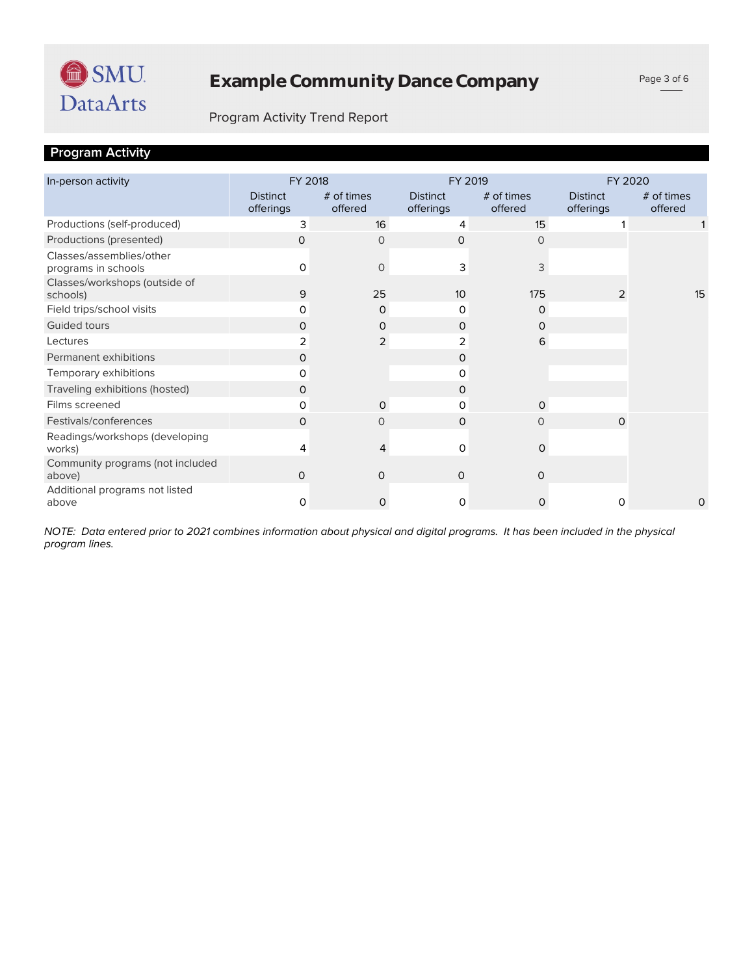

#### Program Activity Trend Report

### **Program Activity**

| In-person activity                              | FY 2018                      |                         | FY 2019                      |                       | FY 2020                      |                         |  |
|-------------------------------------------------|------------------------------|-------------------------|------------------------------|-----------------------|------------------------------|-------------------------|--|
|                                                 | <b>Distinct</b><br>offerings | $#$ of times<br>offered | <b>Distinct</b><br>offerings | # of times<br>offered | <b>Distinct</b><br>offerings | $#$ of times<br>offered |  |
| Productions (self-produced)                     | 3                            | 16                      | 4                            | 15                    |                              |                         |  |
| Productions (presented)                         | 0                            | $\Omega$                | $\Omega$                     | 0                     |                              |                         |  |
| Classes/assemblies/other<br>programs in schools | 0                            | 0                       | 3                            | 3                     |                              |                         |  |
| Classes/workshops (outside of<br>schools)       | 9                            | 25                      | 10                           | 175                   | 2                            | 15                      |  |
| Field trips/school visits                       | 0                            | $\mathbf 0$             | 0                            | 0                     |                              |                         |  |
| Guided tours                                    | 0                            | $\mathbf 0$             | 0                            | O                     |                              |                         |  |
| Lectures                                        | 2                            | $\overline{2}$          | 2                            | 6                     |                              |                         |  |
| Permanent exhibitions                           | 0                            |                         | 0                            |                       |                              |                         |  |
| Temporary exhibitions                           | 0                            |                         | 0                            |                       |                              |                         |  |
| Traveling exhibitions (hosted)                  | 0                            |                         | 0                            |                       |                              |                         |  |
| Films screened                                  | 0                            | $\mathbf 0$             | 0                            | $\mathbf 0$           |                              |                         |  |
| Festivals/conferences                           | $\Omega$                     | $\circ$                 | $\Omega$                     | $\circ$               | $\mathbf 0$                  |                         |  |
| Readings/workshops (developing<br>works)        | 4                            | 4                       | $\Omega$                     | $\mathbf 0$           |                              |                         |  |
| Community programs (not included<br>above)      | 0                            | 0                       | $\Omega$                     | 0                     |                              |                         |  |
| Additional programs not listed<br>above         | 0                            | 0                       | 0                            | 0                     | 0                            | 0                       |  |

*program lines. NOTE: Data entered prior to 2021 combines information about physical and digital programs. It has been included in the physical*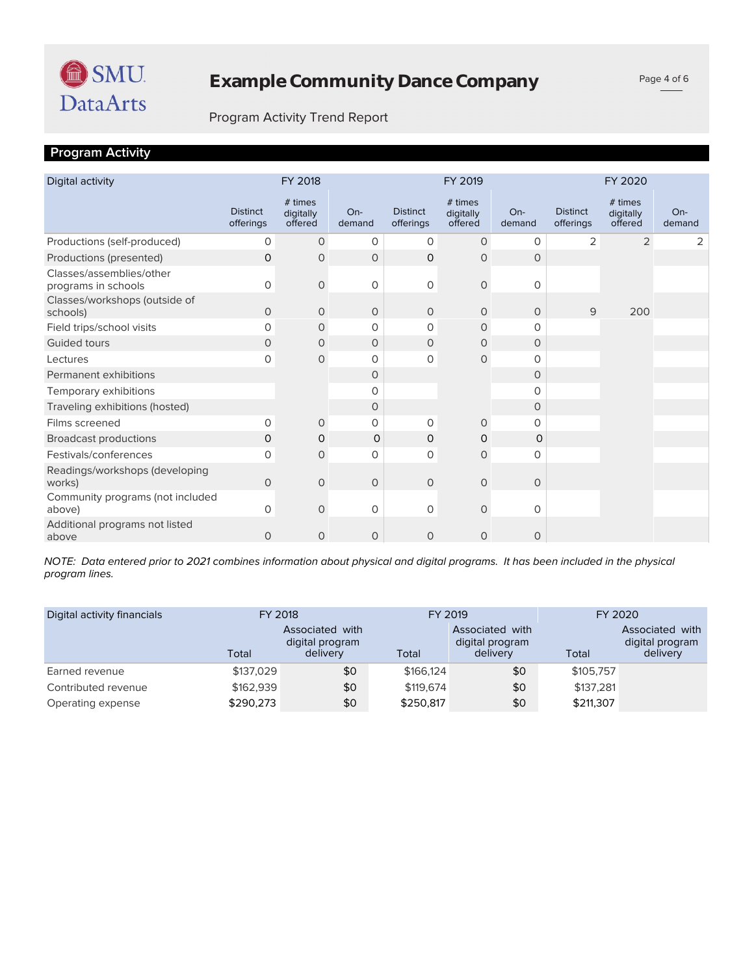

Page 4 of 6

#### Program Activity Trend Report

## **Program Activity**

| Digital activity                                |                              | FY 2018                         |               |                              | FY 2019                         |               |                              | FY 2020                         |                 |
|-------------------------------------------------|------------------------------|---------------------------------|---------------|------------------------------|---------------------------------|---------------|------------------------------|---------------------------------|-----------------|
|                                                 | <b>Distinct</b><br>offerings | # times<br>digitally<br>offered | On-<br>demand | <b>Distinct</b><br>offerings | # times<br>digitally<br>offered | On-<br>demand | <b>Distinct</b><br>offerings | # times<br>digitally<br>offered | $On-$<br>demand |
| Productions (self-produced)                     | 0                            | $\circ$                         | 0             | 0                            | 0                               | $\circ$       | 2                            | $\overline{2}$                  | 2               |
| Productions (presented)                         | 0                            | 0                               | $\circ$       | $\mathbf 0$                  | 0                               | $\circ$       |                              |                                 |                 |
| Classes/assemblies/other<br>programs in schools | $\circ$                      | $\mathbf 0$                     | $\mathbf 0$   | $\mathcal{O}$                | $\mathbf 0$                     | $\circ$       |                              |                                 |                 |
| Classes/workshops (outside of<br>schools)       | 0                            | 0                               | $\circ$       | $\circ$                      | $\circ$                         | $\circ$       | 9                            | 200                             |                 |
| Field trips/school visits                       | 0                            | $\circ$                         | $\mathbf 0$   | 0                            | $\circ$                         | $\Omega$      |                              |                                 |                 |
| <b>Guided tours</b>                             | 0                            | 0                               | $\circ$       | 0                            | 0                               | $\circ$       |                              |                                 |                 |
| Lectures                                        | 0                            | 0                               | $\mathbf 0$   | 0                            | $\mathbf 0$                     | $\Omega$      |                              |                                 |                 |
| Permanent exhibitions                           |                              |                                 | $\circ$       |                              |                                 | $\circ$       |                              |                                 |                 |
| Temporary exhibitions                           |                              |                                 | $\Omega$      |                              |                                 | 0             |                              |                                 |                 |
| Traveling exhibitions (hosted)                  |                              |                                 | $\circ$       |                              |                                 | $\circ$       |                              |                                 |                 |
| Films screened                                  | 0                            | 0                               | 0             | 0                            | 0                               | $\Omega$      |                              |                                 |                 |
| <b>Broadcast productions</b>                    | 0                            | 0                               | $\mathbf 0$   | $\mathbf 0$                  | $\mathbf 0$                     | $\circ$       |                              |                                 |                 |
| Festivals/conferences                           | 0                            | $\circ$                         | 0             | 0                            | $\circ$                         | 0             |                              |                                 |                 |
| Readings/workshops (developing<br>works)        | 0                            | $\mathbf 0$                     | $\circ$       | $\circ$                      | $\mathbf 0$                     | $\circ$       |                              |                                 |                 |
| Community programs (not included<br>above)      | 0                            | $\mathbf 0$                     | 0             | $\mathbf 0$                  | $\mathsf{O}\xspace$             | $\circ$       |                              |                                 |                 |
| Additional programs not listed<br>above         | 0                            | $\circ$                         | 0             | $\circ$                      | $\circ$                         | 0             |                              |                                 |                 |

*program lines. NOTE: Data entered prior to 2021 combines information about physical and digital programs. It has been included in the physical* 

| Digital activity financials | FY 2018   |                                                | FY 2019   |                                                | FY 2020   |                                                |  |
|-----------------------------|-----------|------------------------------------------------|-----------|------------------------------------------------|-----------|------------------------------------------------|--|
|                             | Total     | Associated with<br>digital program<br>delivery | Total     | Associated with<br>digital program<br>delivery | Total     | Associated with<br>digital program<br>delivery |  |
| Earned revenue              | \$137,029 | \$0                                            | \$166,124 | \$0                                            | \$105,757 |                                                |  |
| Contributed revenue         | \$162,939 | \$0                                            | \$119,674 | \$0                                            | \$137.281 |                                                |  |
| Operating expense           | \$290,273 | \$0                                            | \$250,817 | \$0                                            | \$211,307 |                                                |  |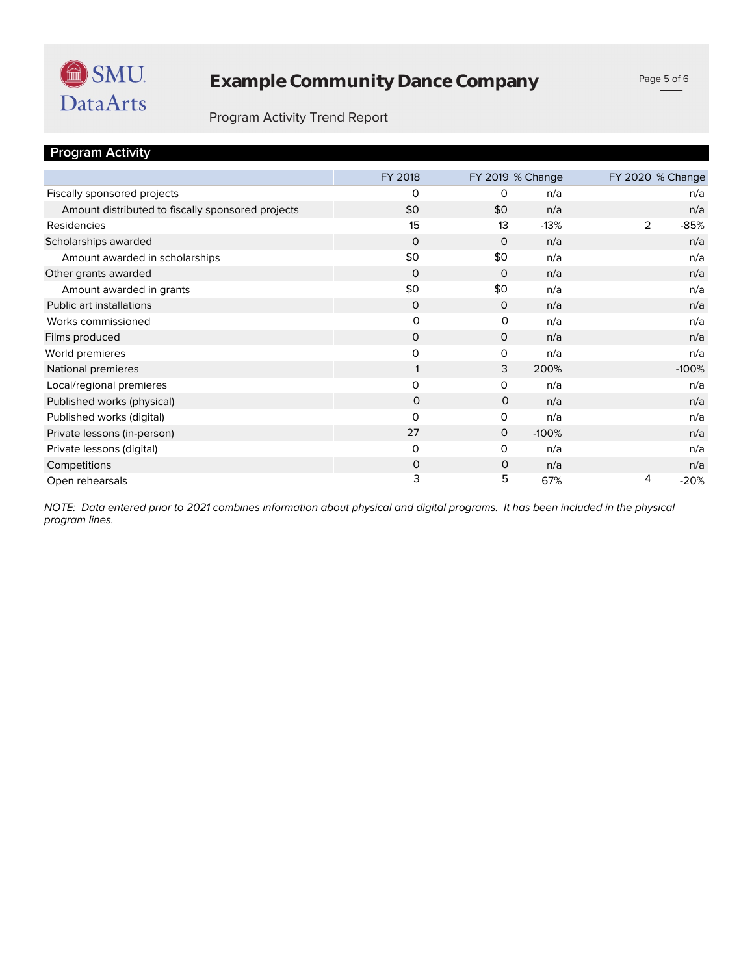

# **Example Community Dance Company**

Page 5 of 6

#### Program Activity Trend Report

| <b>Program Activity</b>                           |              |              |                  |                  |
|---------------------------------------------------|--------------|--------------|------------------|------------------|
|                                                   | FY 2018      |              | FY 2019 % Change | FY 2020 % Change |
| Fiscally sponsored projects                       | $\Omega$     | $\Omega$     | n/a              | n/a              |
| Amount distributed to fiscally sponsored projects | \$0          | \$0          | n/a              | n/a              |
| Residencies                                       | 15           | 13           | $-13%$           | 2<br>$-85%$      |
| Scholarships awarded                              | $\Omega$     | $\Omega$     | n/a              | n/a              |
| Amount awarded in scholarships                    | \$0          | \$0          | n/a              | n/a              |
| Other grants awarded                              | $\mathbf 0$  | $\Omega$     | n/a              | n/a              |
| Amount awarded in grants                          | \$0          | \$0          | n/a              | n/a              |
| Public art installations                          | $\mathbf 0$  | $\circ$      | n/a              | n/a              |
| Works commissioned                                | $\circ$      | 0            | n/a              | n/a              |
| Films produced                                    | $\mathbf 0$  | $\mathsf{O}$ | n/a              | n/a              |
| World premieres                                   | $\mathsf{O}$ | 0            | n/a              | n/a              |
| National premieres                                | 1            | 3            | 200%             | $-100%$          |
| Local/regional premieres                          | $\mathbf 0$  | 0            | n/a              | n/a              |
| Published works (physical)                        | 0            | $\mathbf 0$  | n/a              | n/a              |
| Published works (digital)                         | $\Omega$     | 0            | n/a              | n/a              |
| Private lessons (in-person)                       | 27           | $\mathbf 0$  | $-100%$          | n/a              |
| Private lessons (digital)                         | $\mathbf 0$  | O            | n/a              | n/a              |
| Competitions                                      | $\mathsf{O}$ | 0            | n/a              | n/a              |
| Open rehearsals                                   | 3            | 5            | 67%              | 4<br>$-20%$      |

*program lines. NOTE: Data entered prior to 2021 combines information about physical and digital programs. It has been included in the physical*